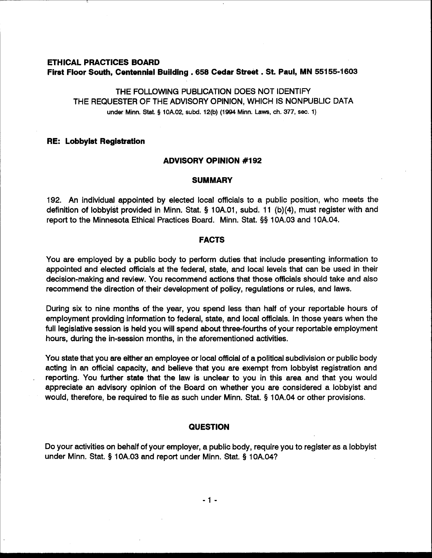# **ETHICAL PRACTICES BOARD First Floor South, Centennial Building** . **658 Cedar Street** . **St. Paul, MN 55155-1603**

THE FOLLOWING PUBLICATION DOES NOT IDENTIFY THE REQUESTER OF THE ADVISORY OPINION, WHICH IS NONPUBLIC DATA **under Minn.** Stat. § **10A.02, subd. 12(b) (1994 Minn. Laws, ch. 377, sec. 1)** 

#### **RE: Lobbyist Registration**

## <sup>1</sup>**ADVISORY OPINION #I92**

#### **SUMMARY**

192. An individual appointed by elected local officials to a public position, who meets the definition of lobbyist provided in Minn. Stat. **5** 10A.O1, subd. 11 (b)(4), must register with and report to the Minnesota Ethical Practices Board. Minn. Stat. **55** 10A.03 and 1 OA.04.

#### **FACTS**

You are employed by a public body to perform duties that include presenting information to appointed and elected officials at the federal, state, and local levels that can be used in their decision-making and review. You recommend actions that those officials should take and also recommend the direction of their development of policy, regulations or rules, and laws.

During six to nine months of the year, you spend less than half of your reportable hours of employment providing information to federal, state, and local officials. In those years when the full legislative session is held you will spend about three-fourths of your reportable employment hours, during the in-session months, in the aforementioned activities.

You state that you are either an employee or local official of a political subdivision or public body acting in an official capacity, and believe that you are exempt from lobbyist registration and reporting. You further state that the law is unclear to you in this area and that you would appreciate an advisory opinion of the Board on whether you are considered a lobbyist and would, therefore, be required to file as such under Minn. Stat. **9** 10A.04 or other provisions.

### **QUESTION**

Do your activities on behalf of your employer, a public body, require you to register as a lobbyist under Minn. Stat. § 10A.03 and report under Minn. Stat. **9** 10A.04?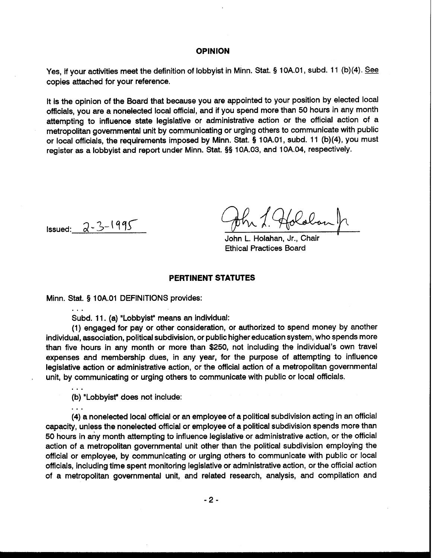## **OPINION**

Yes, if your activities meet the definition of lobbyist in Minn. Stat. § 10A.01, subd. 11 (b)(4). See copies attached for your reference.

It is the opinion of the Board that because you are appointed to your position by elected local officials, you are a nonelected local official, and if you spend more than 50 hours in any month attempting to influence state legislative or administrative action or the official action of a metropolitan governmental unit by communicating or urging others to communicate with public or local officials, the requirements imposed by Minn. Stat. **5** 1 0A.01, subd. 11 (b)(4), you must register as a lobbyist and report under Minn. Stat. **55** 10A.03, and 10A.04, respectively.

 $I$ ssued:  $2 - 3 - 1995$ 

...

**.a.** 

Hololon

John L. Holahan, Jr., Chair **<sup>I</sup>** Ethical Practices Board

#### **PERTINENT STATUTES**

Minn. Stat. § 1 OA.O1 DEFINITIONS provides:

Subd. 11. (a) "Lobbyist" means an individual:

(1) engaged for pay or other consideration, or authorized to spend money by another individual, association, political subdivision, or public higher education system, who spends more than five hours in any month or more than \$250, not including the individual's own travel expenses and membership dues, in any year, for the purpose of attempting to influence legislative action or administrative action, or the official action of a metropolitan governmental unit, by communicating or urging others to communicate with public or local officials.

(b) "Lobbyist" does not include:

(4) a nonelected local official or an employee of a political subdivision acting in an official capacity, unless the nonelected official or employee of a political subdivision spends more than 50 hours in any month attempting to influence legislative or administrative action, or the official action of a metropolitan governmental unit other than the political subdivision employing the official or employee, by communicating or urging others to communicate with public or local officials, including time spent monitoring legislative or administrative action, or the official action of a metropolitan governmental unit, and related research, analysis, and compilation and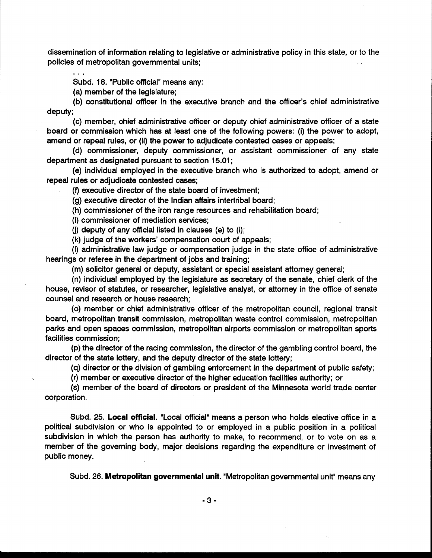dissemination of information relating to legislative or administrative policy in this state, or to the policies of metropolitan governmental units;

. . . Subd. 18. "Public official" means any:

(a) member of the legislature;

(b) constitutional officer in the executive branch and the officer's chief administrative deputy;

(c) member, chief administrative officer or deputy chief administrative officer of a state board or commission which has at least one of the following powers: (i) the power to adopt, amend or repeal rules, or (ii) the power to adjudicate contested cases or appeals;

(d) commissioner, deputy commissioner, or assistant commissioner of any state department as designated pursuant to section 15.01 ;

(e) individual employed in the executive branch who is authorized to adopt, amend or repeal rules or adjudicate contested cases;

(f) executive director of the state board of investment;

(g) executive director of the Indian affairs intertribal board;

(h) commissioner of the iron range resources and rehabilitation board;

(i) commissioner of mediation services;

(i) deputy of any official listed in clauses (e) to (i);

(k) judge of the workers' compensation court of appeals;

(I) administrative law judge or compensation judge in the state office of administrative hearings or referee in the department of jobs and training;

(m) solicitor general or deputy, assistant or special assistant attorney general;

(n) individual employed by the legislature as secretary of the senate, chief clerk of the house, revisor of statutes, or researcher, legislative analyst, or attorney in the office of senate counsel and research or house research;

(0) member or chief administrative officer of the metropolitan council, regional transit board, metropolitan transit commission, metropolitan waste control commission, metropolitan parks and open spaces commission, metropolitan airports commission or metropolitan sports facilities commission;

(p) the director of the racing commission, the director of the gambling control board, the director of the state lottery, and the deputy director of the state lottery;

(q) director or the division of gambling enforcement in the department of public safety;

(r) member or executive director of the higher education facilities authority; or

(s) member of the board of directors or president of the Minnesota world trade center corporation.

Subd. 25. **Local official.** "Local official" means a person who holds elective office in a political subdivision or who is appointed to or employed in a public position in a political subdivision in which the person has authority to make, to recommend, or to vote on as a member of the governing body, major decisions regarding the expenditure or investment of public money.

Subd. 26. **Metropolitan governmental unit.** "Metropolitan governmental unit" means any